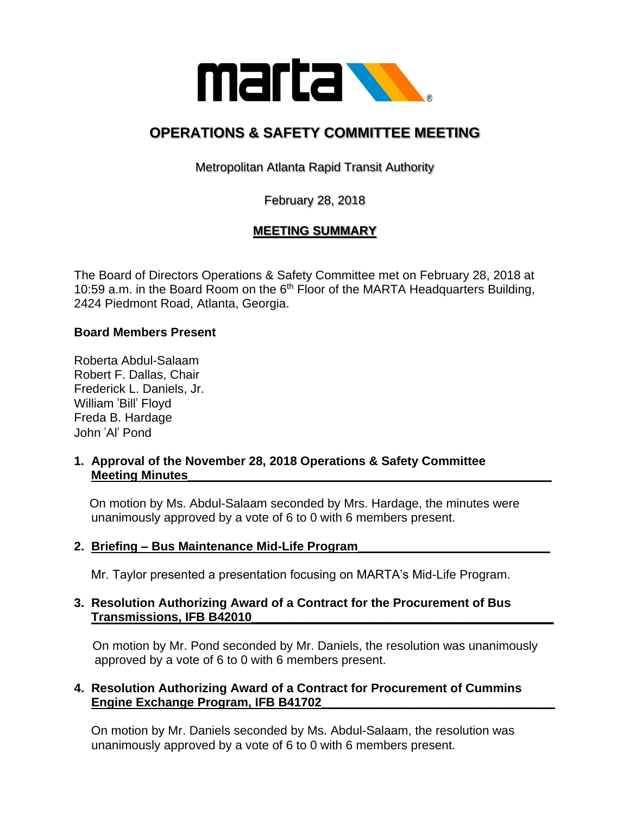

# **OPERATIONS & SAFETY COMMITTEE MEETING**

Metropolitan Atlanta Rapid Transit Authority

February 28, 2018

# **MEETING SUMMARY**

The Board of Directors Operations & Safety Committee met on February 28, 2018 at 10:59 a.m. in the Board Room on the  $6<sup>th</sup>$  Floor of the MARTA Headquarters Building, 2424 Piedmont Road, Atlanta, Georgia.

#### **Board Members Present**

Roberta Abdul-Salaam Robert F. Dallas, Chair Frederick L. Daniels, Jr. William 'Bill' Floyd Freda B. Hardage John 'Al' Pond

#### **1. Approval of the November 28, 2018 Operations & Safety Committee Meeting Minutes\_\_\_\_\_\_\_\_\_\_\_\_\_\_\_\_\_\_\_\_\_\_\_\_\_\_\_\_\_\_\_\_\_\_\_\_\_\_\_\_\_\_\_\_\_\_\_\_\_\_\_\_\_**

 On motion by Ms. Abdul-Salaam seconded by Mrs. Hardage, the minutes were unanimously approved by a vote of 6 to 0 with 6 members present.

**2. Briefing – Bus Maintenance Mid-Life Program\_\_\_\_\_\_\_\_\_\_\_\_\_\_\_\_\_\_\_\_\_\_\_\_\_\_\_\_**

Mr. Taylor presented a presentation focusing on MARTA's Mid-Life Program.

#### **3. Resolution Authorizing Award of a Contract for the Procurement of Bus Transmissions, IFB B42010\_\_\_\_\_\_\_\_\_\_\_\_\_\_\_\_\_\_\_\_\_\_\_\_\_\_\_\_\_\_\_\_\_\_\_\_\_\_\_\_\_\_\_\_**

On motion by Mr. Pond seconded by Mr. Daniels, the resolution was unanimously approved by a vote of 6 to 0 with 6 members present.

#### **4. Resolution Authorizing Award of a Contract for Procurement of Cummins Engine Exchange Program, IFB B41702\_\_\_\_\_\_\_\_\_\_\_\_\_\_\_\_\_\_\_\_\_\_\_\_\_\_\_\_\_\_\_\_\_\_**

 On motion by Mr. Daniels seconded by Ms. Abdul-Salaam, the resolution was unanimously approved by a vote of 6 to 0 with 6 members present.